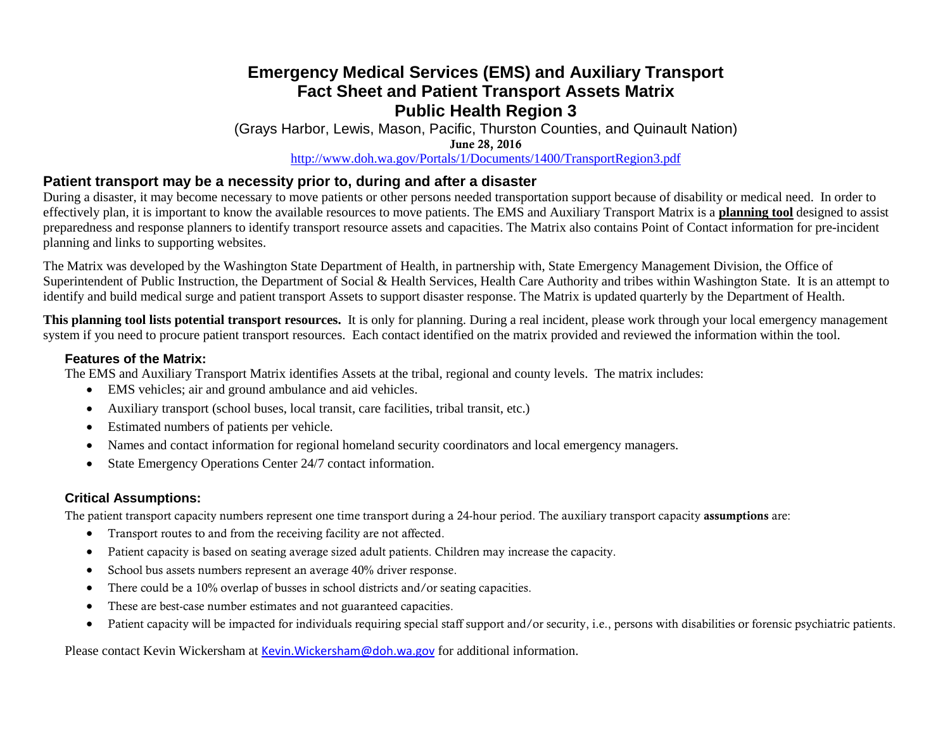## **Emergency Medical Services (EMS) and Auxiliary Transport Fact Sheet and Patient Transport Assets Matrix Public Health Region 3**

(Grays Harbor, Lewis, Mason, Pacific, Thurston Counties, and Quinault Nation) June 28, 2016 <http://www.doh.wa.gov/Portals/1/Documents/1400/TransportRegion3.pdf>

**Patient transport may be a necessity prior to, during and after a disaster**

During a disaster, it may become necessary to move patients or other persons needed transportation support because of disability or medical need. In order to effectively plan, it is important to know the available resources to move patients. The EMS and Auxiliary Transport Matrix is a **planning tool** designed to assist preparedness and response planners to identify transport resource assets and capacities. The Matrix also contains Point of Contact information for pre-incident planning and links to supporting websites.

The Matrix was developed by the Washington State Department of Health, in partnership with, State Emergency Management Division, the Office of Superintendent of Public Instruction, the Department of Social & Health Services, Health Care Authority and tribes within Washington State. It is an attempt to identify and build medical surge and patient transport Assets to support disaster response. The Matrix is updated quarterly by the Department of Health.

**This planning tool lists potential transport resources.** It is only for planning. During a real incident, please work through your local emergency management system if you need to procure patient transport resources. Each contact identified on the matrix provided and reviewed the information within the tool.

## **Features of the Matrix:**

The EMS and Auxiliary Transport Matrix identifies Assets at the tribal, regional and county levels. The matrix includes:

- EMS vehicles; air and ground ambulance and aid vehicles.
- Auxiliary transport (school buses, local transit, care facilities, tribal transit, etc.)
- Estimated numbers of patients per vehicle.
- Names and contact information for regional homeland security coordinators and local emergency managers.
- State Emergency Operations Center 24/7 contact information.

## **Critical Assumptions:**

The patient transport capacity numbers represent one time transport during a 24-hour period. The auxiliary transport capacity assumptions are:

- Transport routes to and from the receiving facility are not affected.
- Patient capacity is based on seating average sized adult patients. Children may increase the capacity.
- School bus assets numbers represent an average 40% driver response.
- There could be a 10% overlap of busses in school districts and/or seating capacities.
- These are best-case number estimates and not guaranteed capacities.
- Patient capacity will be impacted for individuals requiring special staff support and/or security, i.e., persons with disabilities or forensic psychiatric patients.

Please contact Kevin Wickersham at [Kevin.Wickersham@doh.wa.gov](mailto:Kevin.Wickersham@doh.wa.gov) for additional information.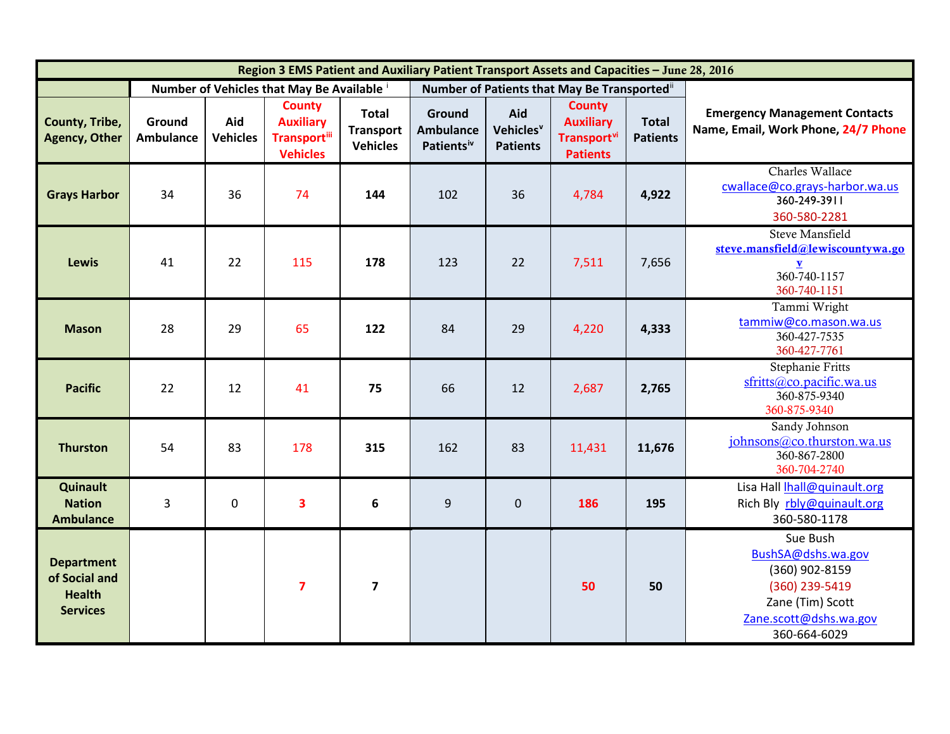| Region 3 EMS Patient and Auxiliary Patient Transport Assets and Capacities - June 28, 2016 |                                            |                        |                                                                              |                                                     |                                                      |                                                 |                                                                                        |                                 |                                                                                                                                  |
|--------------------------------------------------------------------------------------------|--------------------------------------------|------------------------|------------------------------------------------------------------------------|-----------------------------------------------------|------------------------------------------------------|-------------------------------------------------|----------------------------------------------------------------------------------------|---------------------------------|----------------------------------------------------------------------------------------------------------------------------------|
|                                                                                            | Number of Vehicles that May Be Available i |                        |                                                                              |                                                     |                                                      |                                                 | Number of Patients that May Be Transported"                                            |                                 |                                                                                                                                  |
| County, Tribe,<br><b>Agency, Other</b>                                                     | Ground<br><b>Ambulance</b>                 | Aid<br><b>Vehicles</b> | <b>County</b><br><b>Auxiliary</b><br><b>Transport</b> iii<br><b>Vehicles</b> | <b>Total</b><br><b>Transport</b><br><b>Vehicles</b> | Ground<br><b>Ambulance</b><br>Patients <sup>iv</sup> | Aid<br>Vehicles <sup>v</sup><br><b>Patients</b> | <b>County</b><br><b>Auxiliary</b><br><b>Transport</b> <sup>vi</sup><br><b>Patients</b> | <b>Total</b><br><b>Patients</b> | <b>Emergency Management Contacts</b><br>Name, Email, Work Phone, 24/7 Phone                                                      |
| <b>Grays Harbor</b>                                                                        | 34                                         | 36                     | 74                                                                           | 144                                                 | 102                                                  | 36                                              | 4,784                                                                                  | 4,922                           | Charles Wallace<br>cwallace@co.grays-harbor.wa.us<br>360-249-3911<br>360-580-2281                                                |
| <b>Lewis</b>                                                                               | 41                                         | 22                     | 115                                                                          | 178                                                 | 123                                                  | 22                                              | 7,511                                                                                  | 7,656                           | Steve Mansfield<br>steve.mansfield@lewiscountywa.go<br>$\mathbf{Y}$<br>360-740-1157<br>360-740-1151                              |
| <b>Mason</b>                                                                               | 28                                         | 29                     | 65                                                                           | 122                                                 | 84                                                   | 29                                              | 4,220                                                                                  | 4,333                           | Tammi Wright<br>tammiw@co.mason.wa.us<br>360-427-7535<br>360-427-7761                                                            |
| <b>Pacific</b>                                                                             | 22                                         | 12                     | 41                                                                           | 75                                                  | 66                                                   | 12                                              | 2,687                                                                                  | 2,765                           | Stephanie Fritts<br>sfritts@co.pacific.wa.us<br>360-875-9340<br>360-875-9340                                                     |
| <b>Thurston</b>                                                                            | 54                                         | 83                     | 178                                                                          | 315                                                 | 162                                                  | 83                                              | 11,431                                                                                 | 11,676                          | Sandy Johnson<br>johnsons@co.thurston.wa.us<br>360-867-2800<br>360-704-2740                                                      |
| Quinault<br><b>Nation</b><br><b>Ambulance</b>                                              | 3                                          | $\mathbf 0$            | $\overline{\mathbf{3}}$                                                      | 6                                                   | 9                                                    | $\mathbf{0}$                                    | 186                                                                                    | 195                             | Lisa Hall Ihall@quinault.org<br>Rich Bly rbly@quinault.org<br>360-580-1178                                                       |
| <b>Department</b><br>of Social and<br><b>Health</b><br><b>Services</b>                     |                                            |                        | $\overline{\mathbf{z}}$                                                      | $\overline{\mathbf{z}}$                             |                                                      |                                                 | 50                                                                                     | 50                              | Sue Bush<br>BushSA@dshs.wa.gov<br>(360) 902-8159<br>(360) 239-5419<br>Zane (Tim) Scott<br>Zane.scott@dshs.wa.gov<br>360-664-6029 |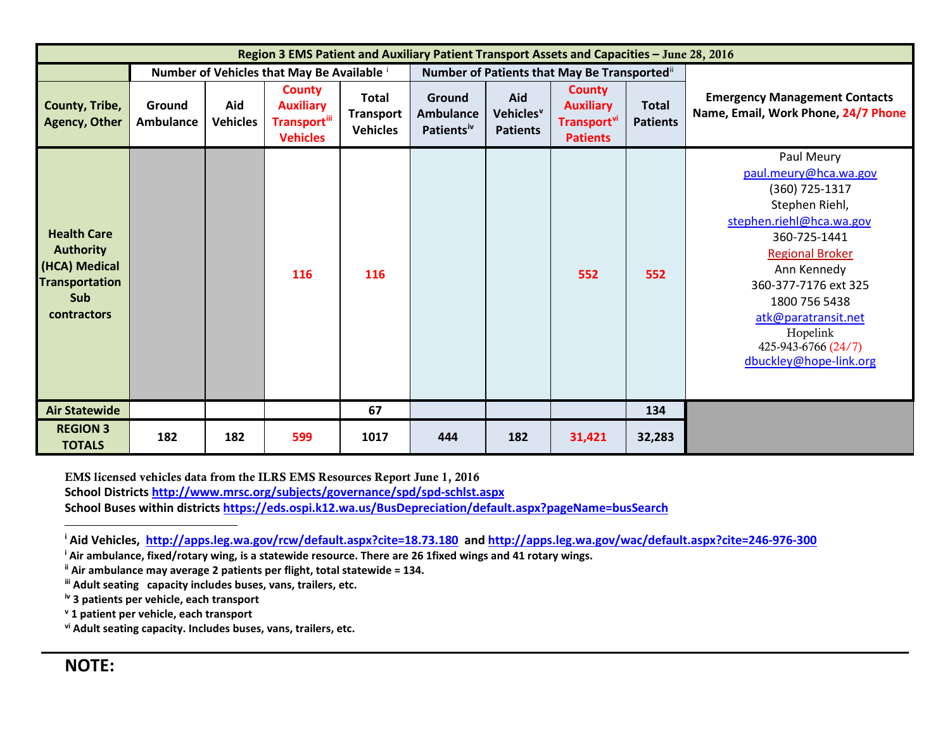<span id="page-2-5"></span><span id="page-2-4"></span><span id="page-2-3"></span><span id="page-2-2"></span><span id="page-2-1"></span><span id="page-2-0"></span>

| Region 3 EMS Patient and Auxiliary Patient Transport Assets and Capacities - June 28, 2016                    |                     |                        |                                                                              |                                                     |                                               |                                                 |                                                                                 |                                 |                                                                                                                                                                                                                                                                                           |  |
|---------------------------------------------------------------------------------------------------------------|---------------------|------------------------|------------------------------------------------------------------------------|-----------------------------------------------------|-----------------------------------------------|-------------------------------------------------|---------------------------------------------------------------------------------|---------------------------------|-------------------------------------------------------------------------------------------------------------------------------------------------------------------------------------------------------------------------------------------------------------------------------------------|--|
|                                                                                                               |                     |                        | Number of Vehicles that May Be Available i                                   |                                                     | Number of Patients that May Be Transported"   |                                                 |                                                                                 |                                 |                                                                                                                                                                                                                                                                                           |  |
| County, Tribe,<br><b>Agency, Other</b>                                                                        | Ground<br>Ambulance | Aid<br><b>Vehicles</b> | <b>County</b><br><b>Auxiliary</b><br><b>Transport</b> iii<br><b>Vehicles</b> | <b>Total</b><br><b>Transport</b><br><b>Vehicles</b> | Ground<br>Ambulance<br>Patients <sup>iv</sup> | Aid<br>Vehicles <sup>v</sup><br><b>Patients</b> | <b>County</b><br><b>Auxiliary</b><br>Transport <sup>vi</sup><br><b>Patients</b> | <b>Total</b><br><b>Patients</b> | <b>Emergency Management Contacts</b><br>Name, Email, Work Phone, 24/7 Phone                                                                                                                                                                                                               |  |
| <b>Health Care</b><br><b>Authority</b><br>(HCA) Medical<br><b>Transportation</b><br>Sub<br><b>contractors</b> |                     |                        | 116                                                                          | 116                                                 |                                               |                                                 | 552                                                                             | 552                             | Paul Meury<br>paul.meury@hca.wa.gov<br>(360) 725-1317<br>Stephen Riehl,<br>stephen.riehl@hca.wa.gov<br>360-725-1441<br><b>Regional Broker</b><br>Ann Kennedy<br>360-377-7176 ext 325<br>1800 756 5438<br>atk@paratransit.net<br>Hopelink<br>425-943-6766 (24/7)<br>dbuckley@hope-link.org |  |
| <b>Air Statewide</b>                                                                                          |                     |                        |                                                                              | 67                                                  |                                               |                                                 |                                                                                 | 134                             |                                                                                                                                                                                                                                                                                           |  |
| <b>REGION 3</b><br><b>TOTALS</b>                                                                              | 182                 | 182                    | 599                                                                          | 1017                                                | 444                                           | 182                                             | 31,421                                                                          | 32,283                          |                                                                                                                                                                                                                                                                                           |  |

EMS licensed vehicles data from the ILRS EMS Resources Report June 1, 2016 **School District[s http://www.mrsc.org/subjects/governance/spd/spd-schlst.aspx](http://www.mrsc.org/subjects/governance/spd/spd-schlst.aspx) School Buses within districts<https://eds.ospi.k12.wa.us/BusDepreciation/default.aspx?pageName=busSearch>**

**<sup>i</sup> Aid Vehicles,<http://apps.leg.wa.gov/rcw/default.aspx?cite=18.73.180>and<http://apps.leg.wa.gov/wac/default.aspx?cite=246-976-300>**

**<sup>i</sup> Air ambulance, fixed/rotary wing, is a statewide resource. There are 26 1fixed wings and 41 rotary wings.**

**ii Air ambulance may average 2 patients per flight, total statewide = 134.**

**iii Adult seating capacity includes buses, vans, trailers, etc.**

**iv 3 patients per vehicle, each transport**

**<sup>v</sup> 1 patient per vehicle, each transport**

**vi Adult seating capacity. Includes buses, vans, trailers, etc.**

l